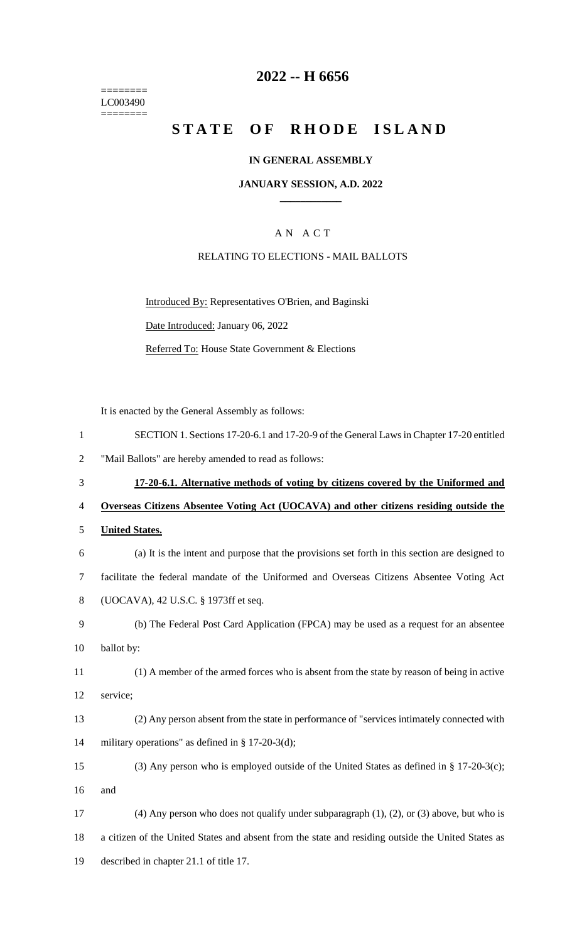======== LC003490  $=$ 

## **-- H 6656**

# **STATE OF RHODE ISLAND**

## **IN GENERAL ASSEMBLY**

### **JANUARY SESSION, A.D. 2022 \_\_\_\_\_\_\_\_\_\_\_\_**

## A N A C T

## RELATING TO ELECTIONS - MAIL BALLOTS

Introduced By: Representatives O'Brien, and Baginski Date Introduced: January 06, 2022 Referred To: House State Government & Elections

It is enacted by the General Assembly as follows:

| $\mathbf{1}$   | SECTION 1. Sections 17-20-6.1 and 17-20-9 of the General Laws in Chapter 17-20 entitled             |
|----------------|-----------------------------------------------------------------------------------------------------|
| $\overline{2}$ | "Mail Ballots" are hereby amended to read as follows:                                               |
| 3              | 17-20-6.1. Alternative methods of voting by citizens covered by the Uniformed and                   |
| $\overline{4}$ | Overseas Citizens Absentee Voting Act (UOCAVA) and other citizens residing outside the              |
| 5              | <b>United States.</b>                                                                               |
| 6              | (a) It is the intent and purpose that the provisions set forth in this section are designed to      |
| $\tau$         | facilitate the federal mandate of the Uniformed and Overseas Citizens Absentee Voting Act           |
| 8              | (UOCAVA), 42 U.S.C. § 1973ff et seq.                                                                |
| 9              | (b) The Federal Post Card Application (FPCA) may be used as a request for an absentee               |
| 10             | ballot by:                                                                                          |
| 11             | (1) A member of the armed forces who is absent from the state by reason of being in active          |
| 12             | service;                                                                                            |
| 13             | (2) Any person absent from the state in performance of "services intimately connected with          |
| 14             | military operations" as defined in § 17-20-3(d);                                                    |
| 15             | (3) Any person who is employed outside of the United States as defined in § 17-20-3(c);             |
| 16             | and                                                                                                 |
| 17             | $(4)$ Any person who does not qualify under subparagraph $(1)$ , $(2)$ , or $(3)$ above, but who is |
| 18             | a citizen of the United States and absent from the state and residing outside the United States as  |
| 19             | described in chapter 21.1 of title 17.                                                              |
|                |                                                                                                     |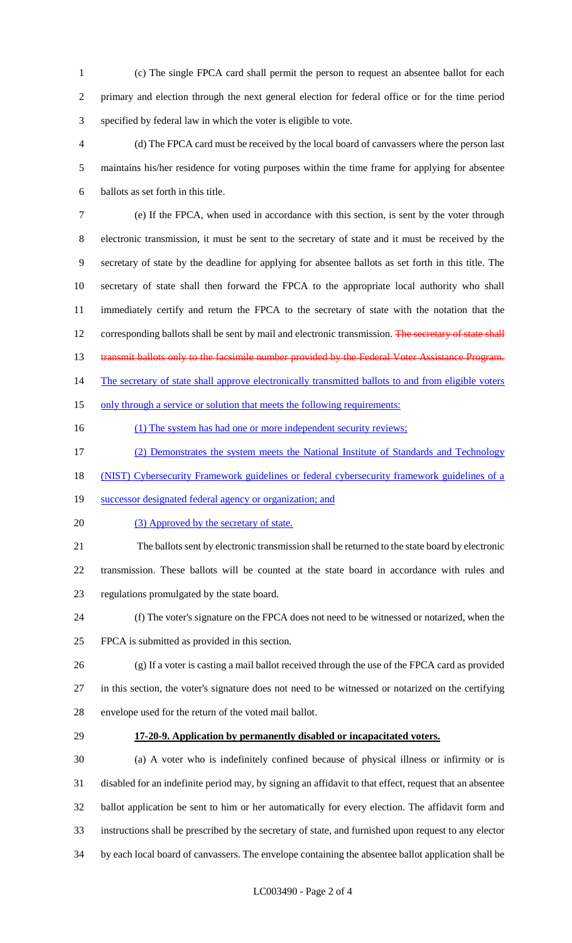- (c) The single FPCA card shall permit the person to request an absentee ballot for each primary and election through the next general election for federal office or for the time period specified by federal law in which the voter is eligible to vote.
- (d) The FPCA card must be received by the local board of canvassers where the person last maintains his/her residence for voting purposes within the time frame for applying for absentee ballots as set forth in this title.

 (e) If the FPCA, when used in accordance with this section, is sent by the voter through electronic transmission, it must be sent to the secretary of state and it must be received by the secretary of state by the deadline for applying for absentee ballots as set forth in this title. The secretary of state shall then forward the FPCA to the appropriate local authority who shall immediately certify and return the FPCA to the secretary of state with the notation that the 12 corresponding ballots shall be sent by mail and electronic transmission. The secretary of state shall 13 transmit ballots only to the facsimile number provided by the Federal Voter Assistance Program. 14 The secretary of state shall approve electronically transmitted ballots to and from eligible voters 15 only through a service or solution that meets the following requirements:

- 16 (1) The system has had one or more independent security reviews;
- (2) Demonstrates the system meets the National Institute of Standards and Technology
- (NIST) Cybersecurity Framework guidelines or federal cybersecurity framework guidelines of a
- successor designated federal agency or organization; and
- 20 (3) Approved by the secretary of state.

 The ballots sent by electronic transmission shall be returned to the state board by electronic transmission. These ballots will be counted at the state board in accordance with rules and regulations promulgated by the state board.

- (f) The voter's signature on the FPCA does not need to be witnessed or notarized, when the FPCA is submitted as provided in this section.
- (g) If a voter is casting a mail ballot received through the use of the FPCA card as provided in this section, the voter's signature does not need to be witnessed or notarized on the certifying envelope used for the return of the voted mail ballot.
- 

#### **17-20-9. Application by permanently disabled or incapacitated voters.**

 (a) A voter who is indefinitely confined because of physical illness or infirmity or is disabled for an indefinite period may, by signing an affidavit to that effect, request that an absentee ballot application be sent to him or her automatically for every election. The affidavit form and instructions shall be prescribed by the secretary of state, and furnished upon request to any elector by each local board of canvassers. The envelope containing the absentee ballot application shall be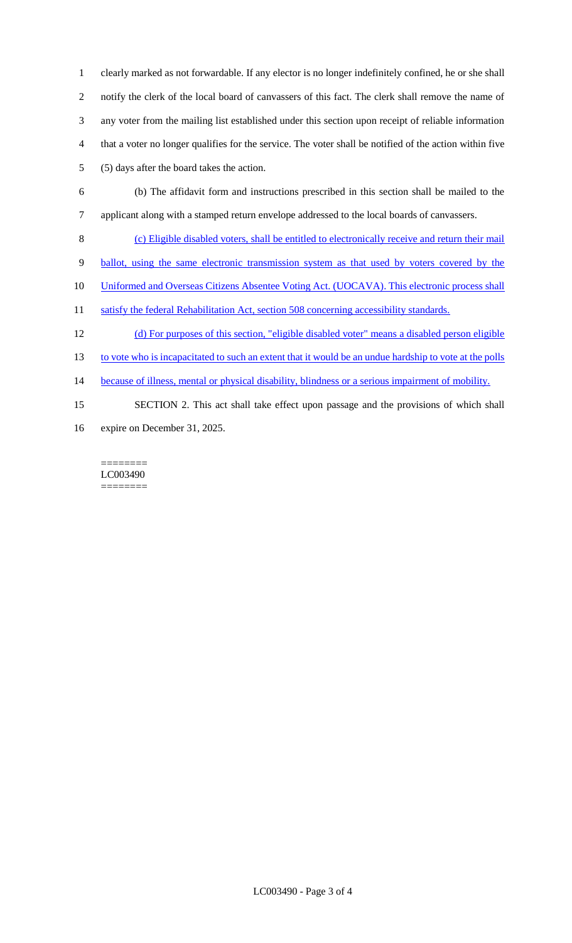clearly marked as not forwardable. If any elector is no longer indefinitely confined, he or she shall notify the clerk of the local board of canvassers of this fact. The clerk shall remove the name of any voter from the mailing list established under this section upon receipt of reliable information that a voter no longer qualifies for the service. The voter shall be notified of the action within five (5) days after the board takes the action.

- 6 (b) The affidavit form and instructions prescribed in this section shall be mailed to the
- 7 applicant along with a stamped return envelope addressed to the local boards of canvassers.
- 8 (c) Eligible disabled voters, shall be entitled to electronically receive and return their mail
- 9 ballot, using the same electronic transmission system as that used by voters covered by the
- 10 Uniformed and Overseas Citizens Absentee Voting Act. (UOCAVA). This electronic process shall
- 11 satisfy the federal Rehabilitation Act, section 508 concerning accessibility standards.
- 12 (d) For purposes of this section, "eligible disabled voter" means a disabled person eligible
- 13 to vote who is incapacitated to such an extent that it would be an undue hardship to vote at the polls
- 14 because of illness, mental or physical disability, blindness or a serious impairment of mobility.
- 15 SECTION 2. This act shall take effect upon passage and the provisions of which shall
- 16 expire on December 31, 2025.

======== LC003490 ========